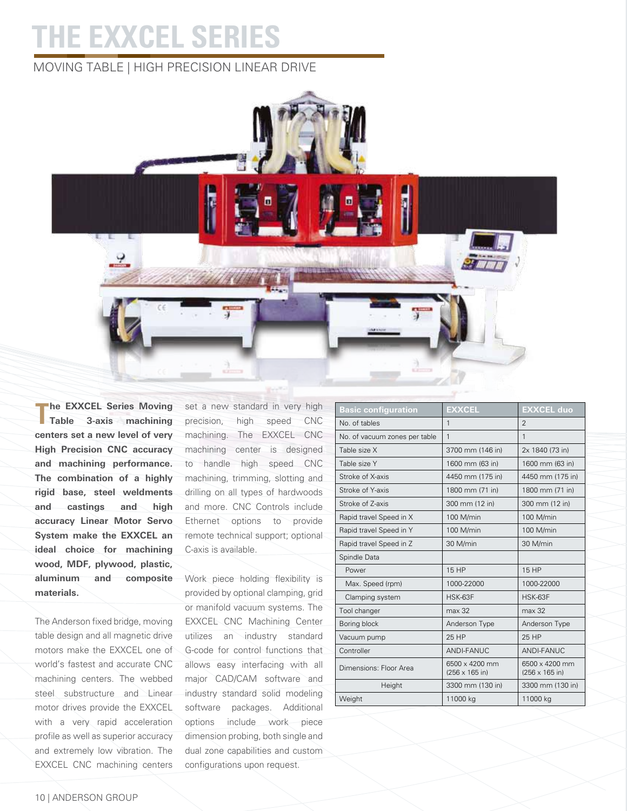## **THE EXXCEL Series**

## moving table | High Precision Linear Drive



**The EXXCEL Series Moving Table 3-axis machining centers set a new level of very High Precision CNC accuracy and machining performance. The combination of a highly rigid base, steel weldments and castings and high accuracy Linear Motor Servo System make the EXXCEL an ideal choice for machining wood, MDF, plywood, plastic, aluminum and composite materials.** 

The Anderson fixed bridge, moving table design and all magnetic drive motors make the EXXCEL one of world's fastest and accurate CNC machining centers. The webbed steel substructure and Linear motor drives provide the EXXCEL with a very rapid acceleration profile as well as superior accuracy and extremely low vibration. The EXXCEL CNC machining centers

set a new standard in very high precision, high speed CNC machining. The EXXCEL CNC machining center is designed to handle high speed CNC machining, trimming, slotting and drilling on all types of hardwoods and more. CNC Controls include Ethernet options to provide remote technical support; optional C-axis is available.

Work piece holding flexibility is provided by optional clamping, grid or manifold vacuum systems. The EXXCEL CNC Machining Center utilizes an industry standard G-code for control functions that allows easy interfacing with all major CAD/CAM software and industry standard solid modeling software packages. Additional options include work piece dimension probing, both single and dual zone capabilities and custom configurations upon request.

| <b>Basic configuration</b>    | <b>EXXCEL</b>                            | <b>EXXCEL duo</b>                        |
|-------------------------------|------------------------------------------|------------------------------------------|
| No. of tables                 | $\mathbf{1}$                             | $\mathfrak{D}$                           |
| No. of vacuum zones per table | 1                                        | $\mathbf{1}$                             |
| Table size X                  | 3700 mm (146 in)                         | 2x 1840 (73 in)                          |
| Table size Y                  | 1600 mm (63 in)                          | 1600 mm (63 in)                          |
| Stroke of X-axis              | 4450 mm (175 in)                         | 4450 mm (175 in)                         |
| Stroke of Y-axis              | 1800 mm (71 in)                          | 1800 mm (71 in)                          |
| Stroke of Z-axis              | 300 mm (12 in)                           | 300 mm (12 in)                           |
| Rapid travel Speed in X       | 100 M/min                                | 100 M/min                                |
| Rapid travel Speed in Y       | 100 M/min                                | 100 M/min                                |
| Rapid travel Speed in Z       | 30 M/min                                 | 30 M/min                                 |
| Spindle Data                  |                                          |                                          |
| Power                         | 15 HP                                    | 15 HP                                    |
| Max. Speed (rpm)              | 1000-22000                               | 1000-22000                               |
| Clamping system               | HSK-63F                                  | HSK-63F                                  |
| Tool changer                  | max 32                                   | max 32                                   |
| Boring block                  | Anderson Type                            | Anderson Type                            |
| Vacuum pump                   | 25 HP                                    | 25 HP                                    |
| Controller                    | <b>ANDI-FANUC</b>                        | ANDI-FANUC                               |
| Dimensions: Floor Area        | 6500 x 4200 mm<br>$(256 \times 165)$ in) | 6500 x 4200 mm<br>$(256 \times 165)$ in) |
| Height                        | 3300 mm (130 in)                         | 3300 mm (130 in)                         |
| Weight                        | 11000 kg                                 | 11000 kg                                 |